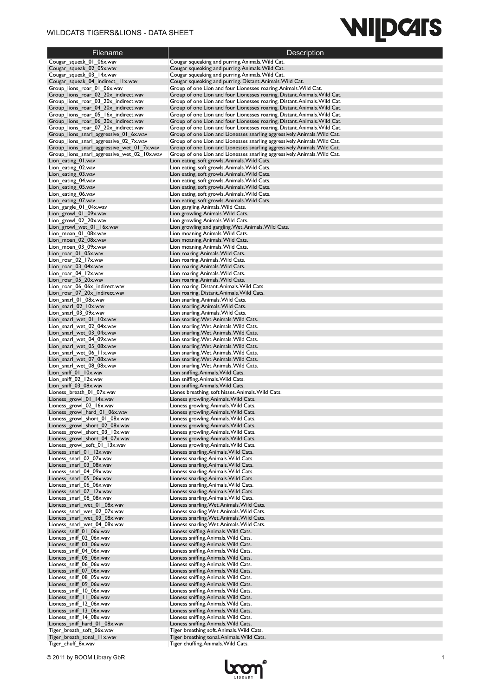### WILDCATS TIGERS&LIONS - DATA SHEET

# **WILDCATS**

| <b>Filename</b>                                                                | Description                                                                                                                                            |
|--------------------------------------------------------------------------------|--------------------------------------------------------------------------------------------------------------------------------------------------------|
| Cougar_squeak_01_06x.wav                                                       | Cougar squeaking and purring. Animals. Wild Cat.                                                                                                       |
| Cougar_squeak_02_05x.wav                                                       | Cougar squeaking and purring. Animals. Wild Cat.                                                                                                       |
| Cougar squeak 03 14x.wav<br>Cougar_squeak_04_indirect_11x.wav                  | Cougar squeaking and purring. Animals. Wild Cat.<br>Cougar squeaking and purring. Distant. Animals. Wild Cat.                                          |
| Group lions roar 01 06x.wav                                                    | Group of one Lion and four Lionesses roaring. Animals. Wild Cat.                                                                                       |
| Group_lions_roar_02_20x_indirect.wav                                           | Group of one Lion and four Lionesses roaring. Distant. Animals. Wild Cat.                                                                              |
| Group_lions_roar_03_20x_indirect.wav                                           | Group of one Lion and four Lionesses roaring. Distant. Animals. Wild Cat.                                                                              |
| Group lions roar 04 20x indirect.wav                                           | Group of one Lion and four Lionesses roaring. Distant. Animals. Wild Cat.                                                                              |
| Group_lions_roar_05_16x_indirect.wav                                           | Group of one Lion and four Lionesses roaring. Distant. Animals. Wild Cat.                                                                              |
| Group_lions_roar_06_20x_indirect.wav                                           | Group of one Lion and four Lionesses roaring. Distant. Animals. Wild Cat.                                                                              |
| Group_lions_roar_07_20x_indirect.wav<br>Group_lions_snarl_aggressive_01_6x.wav | Group of one Lion and four Lionesses roaring. Distant. Animals. Wild Cat.<br>Group of one Lion and Lionesses snarling aggressively. Animals. Wild Cat. |
| Group_lions_snarl_aggressive_02_7x.wav                                         | Group of one Lion and Lionesses snarling aggressively. Animals. Wild Cat.                                                                              |
| Group_lions_snarl_aggressive_wet_01_7x.wav                                     | Group of one Lion and Lionesses snarling aggressively. Animals. Wild Cat.                                                                              |
| Group lions snarl aggressive wet 02 10x.wav                                    | Group of one Lion and Lionesses snarling aggressively. Animals. Wild Cat.                                                                              |
| Lion_eating_01.wav                                                             | Lion eating, soft growls. Animals. Wild Cats.                                                                                                          |
| Lion eating 02.wav<br>Lion_eating_03.wav                                       | Lion eating, soft growls. Animals. Wild Cats.                                                                                                          |
| Lion_eating_04.wav                                                             | Lion eating, soft growls. Animals. Wild Cats.<br>Lion eating, soft growls. Animals. Wild Cats.                                                         |
| Lion_eating_05.wav                                                             | Lion eating, soft growls. Animals. Wild Cats.                                                                                                          |
| Lion_eating_06.wav                                                             | Lion eating, soft growls. Animals. Wild Cats.                                                                                                          |
| Lion_eating_07.wav                                                             | Lion eating, soft growls. Animals. Wild Cats.                                                                                                          |
| Lion_gargle_01_04x.wav                                                         | Lion gargling. Animals. Wild Cats.                                                                                                                     |
| Lion_growl_01_09x.wav                                                          | Lion growling. Animals. Wild Cats.                                                                                                                     |
| Lion_growl_02_20x.wav<br>Lion growl wet 01 16x.wav                             | Lion growling. Animals. Wild Cats.<br>Lion growling and gargling. Wet. Animals. Wild Cats.                                                             |
| Lion_moan_01_08x.wav                                                           | Lion moaning. Animals. Wild Cats.                                                                                                                      |
| Lion moan 02 08x.wav                                                           | Lion moaning. Animals. Wild Cats.                                                                                                                      |
| Lion moan 03 09x.wav                                                           | Lion moaning. Animals. Wild Cats.                                                                                                                      |
| Lion roar 01 05x.wav                                                           | Lion roaring. Animals. Wild Cats.                                                                                                                      |
| Lion roar 02 17x.wav                                                           | Lion roaring. Animals. Wild Cats.                                                                                                                      |
| Lion roar 03 04x.wav<br>Lion_roar_04_12x.wav                                   | Lion roaring. Animals. Wild Cats.<br>Lion roaring. Animals. Wild Cats.                                                                                 |
| Lion roar 05 20x.wav                                                           | Lion roaring. Animals. Wild Cats.                                                                                                                      |
| Lion_roar_06_06x_indirect.wav                                                  | Lion roaring. Distant. Animals. Wild Cats.                                                                                                             |
| Lion_roar_07_20x_indirect.wav                                                  | Lion roaring. Distant. Animals. Wild Cats.                                                                                                             |
| Lion snarl 01 08x.wav                                                          | Lion snarling. Animals. Wild Cats.                                                                                                                     |
| Lion_snarl_02_10x.wav                                                          | Lion snarling. Animals. Wild Cats.                                                                                                                     |
| Lion_snarl_03_09x.wav                                                          | Lion snarling. Animals. Wild Cats.                                                                                                                     |
| Lion_snarl_wet_01_10x.wav<br>Lion snarl wet 02 04x.wav                         | Lion snarling. Wet. Animals. Wild Cats.<br>Lion snarling. Wet. Animals. Wild Cats.                                                                     |
| Lion_snarl_wet_03_04x.wav                                                      | Lion snarling. Wet. Animals. Wild Cats.                                                                                                                |
| Lion_snarl_wet_04_09x.wav                                                      | Lion snarling. Wet. Animals. Wild Cats.                                                                                                                |
| Lion_snarl_wet_05_08x.wav                                                      | Lion snarling. Wet. Animals. Wild Cats.                                                                                                                |
| Lion_snarl_wet_06_11x.wav                                                      | Lion snarling. Wet. Animals. Wild Cats.                                                                                                                |
| Lion_snarl_wet_07_08x.wav                                                      | Lion snarling. Wet. Animals. Wild Cats.                                                                                                                |
| Lion snarl wet 08 08x.wav<br>Lion_sniff_01_10x.wav                             | Lion snarling. Wet. Animals. Wild Cats.<br>Lion sniffing. Animals. Wild Cats.                                                                          |
| Lion sniff 02 12x.wav                                                          | Lion sniffing. Animals. Wild Cats.                                                                                                                     |
| Lion_sniff_03_08x.wav                                                          | Lion sniffing. Animals. Wild Cats.                                                                                                                     |
| Lioness_breath_01_07x.wav                                                      | Liones breathing, soft hisses. Animals. Wild Cats.                                                                                                     |
| Lioness_growl_01_14x.wav                                                       | Lioness growling. Animals. Wild Cats.                                                                                                                  |
| Lioness_growl_02_16x.wav                                                       | Lioness growling. Animals. Wild Cats.                                                                                                                  |
| Lioness growl hard 01 06x.wav                                                  | Lioness growling. Animals. Wild Cats.                                                                                                                  |
| Lioness growl short 01 08x.wav<br>Lioness_growl_short_02_08x.wav               | Lioness growling. Animals. Wild Cats.<br>Lioness growling. Animals. Wild Cats.                                                                         |
| Lioness growl short 03 10x.wav                                                 | Lioness growling. Animals. Wild Cats.                                                                                                                  |
| Lioness growl short 04_07x.wav                                                 | Lioness growling. Animals. Wild Cats.                                                                                                                  |
| Lioness growl soft 01 13x.wav                                                  | Lioness growling. Animals. Wild Cats.                                                                                                                  |
| Lioness snarl 01 12x.wav                                                       | Lioness snarling. Animals. Wild Cats.                                                                                                                  |
| Lioness snarl 02 07x.wav                                                       | Lioness snarling. Animals. Wild Cats.                                                                                                                  |
| Lioness snarl 03 08x.wav<br>Lioness_snarl_04_09x.wav                           | Lioness snarling. Animals. Wild Cats.<br>Lioness snarling. Animals. Wild Cats.                                                                         |
| Lioness snarl 05 06x.wav                                                       | Lioness snarling. Animals. Wild Cats.                                                                                                                  |
| Lioness snarl 06 06x.wav                                                       | Lioness snarling. Animals. Wild Cats.                                                                                                                  |
| Lioness_snarl_07_12x.wav                                                       | Lioness snarling. Animals. Wild Cats.                                                                                                                  |
| Lioness_snarl_08_08x.wav                                                       | Lioness snarling. Animals. Wild Cats.                                                                                                                  |
| Lioness snarl wet 01 08x.wav                                                   | Lioness snarling. Wet. Animals. Wild Cats.                                                                                                             |
| Lioness_snarl_wet_02_07x.wav<br>Lioness_snarl_wet_03_08x.wav                   | Lioness snarling. Wet. Animals. Wild Cats.<br>Lioness snarling. Wet. Animals. Wild Cats.                                                               |
| Lioness snarl wet 04 08x.wav                                                   | Lioness snarling. Wet. Animals. Wild Cats.                                                                                                             |
| Lioness sniff 01 06x.wav                                                       | Lioness sniffing. Animals. Wild Cats.                                                                                                                  |
| Lioness_sniff_02_06x.wav                                                       | Lioness sniffing. Animals. Wild Cats.                                                                                                                  |
| Lioness_sniff_03_06x.wav                                                       | Lioness sniffing. Animals. Wild Cats.                                                                                                                  |
| Lioness sniff 04 06x.wav                                                       | Lioness sniffing. Animals. Wild Cats.                                                                                                                  |
| Lioness_sniff_05_06x.wav                                                       | Lioness sniffing. Animals. Wild Cats.                                                                                                                  |
| Lioness_sniff_06_06x.wav<br>Lioness sniff 07 06x.wav                           | Lioness sniffing. Animals. Wild Cats.<br>Lioness sniffing. Animals. Wild Cats.                                                                         |
| Lioness_sniff_08_05x.wav                                                       | Lioness sniffing. Animals. Wild Cats.                                                                                                                  |
| Lioness_sniff_09_06x.wav                                                       | Lioness sniffing. Animals. Wild Cats.                                                                                                                  |
| Lioness_sniff_10_06x.wav                                                       | Lioness sniffing. Animals. Wild Cats.                                                                                                                  |
| Lioness_sniff_11_06x.wav                                                       | Lioness sniffing. Animals. Wild Cats.                                                                                                                  |
| Lioness_sniff_12_06x.wav                                                       | Lioness sniffing. Animals. Wild Cats.                                                                                                                  |
| Lioness sniff 13 06x.wav                                                       | Lioness sniffing. Animals. Wild Cats.                                                                                                                  |
| Lioness_sniff_14_08x.wav<br>Lioness_sniff_hard_01_08x.wav                      | Lioness sniffing. Animals. Wild Cats.<br>Lioness sniffing. Animals. Wild Cats.                                                                         |
| Tiger_breath_soft_06x.wav                                                      | Tiger breathing soft. Animals. Wild Cats.                                                                                                              |
| Tiger_breath_tonal_11x.wav                                                     | Tiger breathing tonal. Animals. Wild Cats.                                                                                                             |
| Tiger_chuff_8x.wav                                                             | Tiger chuffing. Animals. Wild Cats.                                                                                                                    |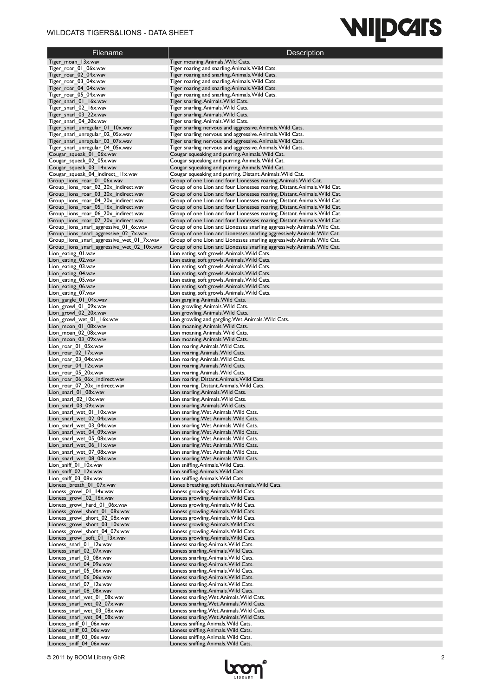### WILDCATS TIGERS&LIONS - DATA SHEET

# **WILDCATS**

| Filename                                                                     | Description                                                                                                                                            |
|------------------------------------------------------------------------------|--------------------------------------------------------------------------------------------------------------------------------------------------------|
| Tiger_moan_13x.wav                                                           | Tiger moaning. Animals. Wild Cats.                                                                                                                     |
| Tiger roar 01 06x.wav                                                        | Tiger roaring and snarling. Animals. Wild Cats.                                                                                                        |
| Tiger roar 02 04x.wav                                                        | Tiger roaring and snarling. Animals. Wild Cats.                                                                                                        |
| Tiger_roar_03_04x.wav<br>Tiger roar 04 04x.wav                               | Tiger roaring and snarling. Animals. Wild Cats.                                                                                                        |
| Tiger roar 05 04x.wav                                                        | Tiger roaring and snarling. Animals. Wild Cats.<br>Tiger roaring and snarling. Animals. Wild Cats.                                                     |
| Tiger_snarl_01_16x.wav                                                       | Tiger snarling. Animals. Wild Cats.                                                                                                                    |
| Tiger snarl 02 16x.wav                                                       | Tiger snarling. Animals. Wild Cats.                                                                                                                    |
| Tiger_snarl_03_22x.wav                                                       | Tiger snarling. Animals. Wild Cats.                                                                                                                    |
| Tiger_snarl_04_20x.wav                                                       | Tiger snarling. Animals. Wild Cats.                                                                                                                    |
| Tiger_snarl_unregular_01_10x.wav<br>Tiger snarl unregular 02 05x.wav         | Tiger snarling nervous and aggressive. Animals. Wild Cats.<br>Tiger snarling nervous and aggressive. Animals. Wild Cats.                               |
| Tiger_snarl_unregular_03_07x.wav                                             | Tiger snarling nervous and aggressive. Animals. Wild Cats.                                                                                             |
| Tiger snarl unregular 04 05x.wav                                             | Tiger snarling nervous and aggressive. Animals. Wild Cats.                                                                                             |
| Cougar_squeak_01_06x.wav                                                     | Cougar squeaking and purring. Animals. Wild Cat.                                                                                                       |
| Cougar_squeak_02_05x.wav                                                     | Cougar squeaking and purring. Animals. Wild Cat.                                                                                                       |
| Cougar_squeak_03_14x.wav                                                     | Cougar squeaking and purring. Animals. Wild Cat.                                                                                                       |
| Cougar_squeak_04_indirect_11x.wav<br>Group_lions_roar_01_06x.wav             | Cougar squeaking and purring. Distant. Animals. Wild Cat.<br>Group of one Lion and four Lionesses roaring. Animals. Wild Cat.                          |
| Group_lions_roar_02_20x_indirect.wav                                         | Group of one Lion and four Lionesses roaring. Distant. Animals. Wild Cat.                                                                              |
| Group_lions_roar_03_20x_indirect.wav                                         | Group of one Lion and four Lionesses roaring. Distant. Animals. Wild Cat.                                                                              |
| Group_lions_roar_04_20x_indirect.wav                                         | Group of one Lion and four Lionesses roaring. Distant. Animals. Wild Cat.                                                                              |
| Group_lions_roar_05_16x_indirect.wav                                         | Group of one Lion and four Lionesses roaring. Distant. Animals. Wild Cat.                                                                              |
| Group_lions_roar_06_20x_indirect.wav<br>Group_lions_roar_07_20x_indirect.wav | Group of one Lion and four Lionesses roaring. Distant. Animals. Wild Cat.<br>Group of one Lion and four Lionesses roaring. Distant. Animals. Wild Cat. |
| Group_lions_snarl_aggressive_01_6x.wav                                       | Group of one Lion and Lionesses snarling aggressively. Animals. Wild Cat.                                                                              |
| Group_lions_snarl_aggressive_02_7x.wav                                       | Group of one Lion and Lionesses snarling aggressively. Animals. Wild Cat.                                                                              |
| Group_lions_snarl_aggressive_wet_01_7x.wav                                   | Group of one Lion and Lionesses snarling aggressively. Animals. Wild Cat.                                                                              |
| Group_lions_snarl_aggressive_wet_02_10x.wav                                  | Group of one Lion and Lionesses snarling aggressively. Animals. Wild Cat.                                                                              |
| Lion_eating_01.wav                                                           | Lion eating, soft growls. Animals. Wild Cats.                                                                                                          |
| Lion_eating_02.wav<br>Lion_eating_03.wav                                     | Lion eating, soft growls. Animals. Wild Cats.<br>Lion eating, soft growls. Animals. Wild Cats.                                                         |
| Lion_eating_04.wav                                                           | Lion eating, soft growls. Animals. Wild Cats.                                                                                                          |
| Lion_eating_05.wav                                                           | Lion eating, soft growls. Animals. Wild Cats.                                                                                                          |
| Lion_eating_06.wav                                                           | Lion eating, soft growls. Animals. Wild Cats.                                                                                                          |
| Lion_eating_07.wav                                                           | Lion eating, soft growls. Animals. Wild Cats.                                                                                                          |
| Lion gargle 01 04x.wav                                                       | Lion gargling. Animals. Wild Cats.                                                                                                                     |
| Lion growl 01 09x.wav<br>Lion growl 02 20x.wav                               | Lion growling. Animals. Wild Cats.<br>Lion growling. Animals. Wild Cats.                                                                               |
| Lion growl_wet_01_16x.wav                                                    | Lion growling and gargling. Wet. Animals. Wild Cats.                                                                                                   |
| Lion moan 01 08x.wav                                                         | Lion moaning. Animals. Wild Cats.                                                                                                                      |
| Lion moan 02 08x.wav                                                         | Lion moaning. Animals. Wild Cats.                                                                                                                      |
| Lion moan 03 09x.wav                                                         | Lion moaning. Animals. Wild Cats.                                                                                                                      |
| Lion roar 01 05x.wav                                                         | Lion roaring. Animals. Wild Cats.                                                                                                                      |
| Lion_roar_02_17x.wav<br>Lion_roar_03_04x.wav                                 | Lion roaring. Animals. Wild Cats.<br>Lion roaring. Animals. Wild Cats.                                                                                 |
| Lion roar 04 12x.wav                                                         | Lion roaring. Animals. Wild Cats.                                                                                                                      |
| Lion_roar_05_20x.wav                                                         | Lion roaring. Animals. Wild Cats.                                                                                                                      |
| Lion roar 06 06x indirect.wav                                                | Lion roaring. Distant. Animals. Wild Cats.                                                                                                             |
| Lion_roar_07_20x_indirect.wav                                                | Lion roaring. Distant. Animals. Wild Cats.                                                                                                             |
| Lion_snarl_01_08x.wav                                                        | Lion snarling. Animals. Wild Cats.                                                                                                                     |
| Lion_snarl_02_10x.wav<br>Lion_snarl_03_09x.wav                               | Lion snarling. Animals. Wild Cats.<br>Lion snarling. Animals. Wild Cats.                                                                               |
| Lion snarl wet 01 10x.wav                                                    | Lion snarling. Wet. Animals. Wild Cats.                                                                                                                |
| Lion snarl wet 02 04x.wav                                                    | Lion snarling. Wet. Animals. Wild Cats                                                                                                                 |
| Lion_snarl_wet_03_04x.wav                                                    | Lion snarling. Wet. Animals. Wild Cats.                                                                                                                |
| Lion_snarl_wet_04_09x.wav                                                    | Lion snarling. Wet. Animals. Wild Cats.                                                                                                                |
| Lion snarl wet 05 08x.wav<br>Lion snarl wet 06 11x.wav                       | Lion snarling. Wet. Animals. Wild Cats.<br>Lion snarling. Wet. Animals. Wild Cats.                                                                     |
| Lion_snarl_wet_07_08x.wav                                                    | Lion snarling. Wet. Animals. Wild Cats.                                                                                                                |
| Lion snarl wet 08 08x.wav                                                    | Lion snarling. Wet. Animals. Wild Cats.                                                                                                                |
| Lion sniff 01 10x.wav                                                        | Lion sniffing. Animals. Wild Cats.                                                                                                                     |
| Lion_sniff_02_12x.wav                                                        | Lion sniffing. Animals. Wild Cats.                                                                                                                     |
| Lion_sniff_03_08x.wav                                                        | Lion sniffing. Animals. Wild Cats.                                                                                                                     |
| Lioness_breath_01_07x.wav<br>Lioness_growl_01_14x.wav                        | Liones breathing, soft hisses. Animals. Wild Cats.<br>Lioness growling. Animals. Wild Cats.                                                            |
| Lioness_growl_02_16x.wav                                                     | Lioness growling. Animals. Wild Cats.                                                                                                                  |
| Lioness_growl_hard_01_06x.wav                                                | Lioness growling. Animals. Wild Cats.                                                                                                                  |
| Lioness_growl_short_01_08x.wav                                               | Lioness growling. Animals. Wild Cats.                                                                                                                  |
| Lioness_growl_short_02_08x.wav                                               | Lioness growling. Animals. Wild Cats.                                                                                                                  |
| Lioness growl short 03 10x.wav                                               | Lioness growling. Animals. Wild Cats.                                                                                                                  |
| Lioness_growl_short_04_07x.wav<br>Lioness_growl_soft_01_13x.wav              | Lioness growling. Animals. Wild Cats.<br>Lioness growling. Animals. Wild Cats.                                                                         |
| Lioness_snarl_01_12x.wav                                                     | Lioness snarling. Animals. Wild Cats.                                                                                                                  |
| Lioness_snarl_02_07x.wav                                                     | Lioness snarling. Animals. Wild Cats.                                                                                                                  |
| Lioness_snarl_03_08x.wav                                                     | Lioness snarling. Animals. Wild Cats.                                                                                                                  |
| Lioness_snarl_04_09x.wav                                                     | Lioness snarling. Animals. Wild Cats.                                                                                                                  |
| Lioness_snarl_05_06x.wav<br>Lioness_snarl_06_06x.wav                         | Lioness snarling. Animals. Wild Cats.<br>Lioness snarling. Animals. Wild Cats.                                                                         |
| Lioness_snarl_07_12x.wav                                                     | Lioness snarling. Animals. Wild Cats.                                                                                                                  |
| Lioness_snarl_08_08x.wav                                                     | Lioness snarling. Animals. Wild Cats.                                                                                                                  |
| Lioness_snarl_wet_01_08x.wav                                                 | Lioness snarling. Wet. Animals. Wild Cats.                                                                                                             |
| Lioness_snarl_wet_02_07x.wav                                                 | Lioness snarling. Wet. Animals. Wild Cats.                                                                                                             |
| Lioness_snarl_wet_03_08x.wav                                                 | Lioness snarling. Wet. Animals. Wild Cats.                                                                                                             |
| Lioness_snarl_wet_04_08x.wav<br>Lioness_sniff_01_06x.wav                     | Lioness snarling. Wet. Animals. Wild Cats.<br>Lioness sniffing. Animals. Wild Cats.                                                                    |
| Lioness_sniff_02_06x.wav                                                     | Lioness sniffing. Animals. Wild Cats.                                                                                                                  |
| Lioness_sniff_03_06x.wav                                                     | Lioness sniffing. Animals. Wild Cats.                                                                                                                  |
| Lioness_sniff_04_06x.wav                                                     | Lioness sniffing. Animals. Wild Cats.                                                                                                                  |